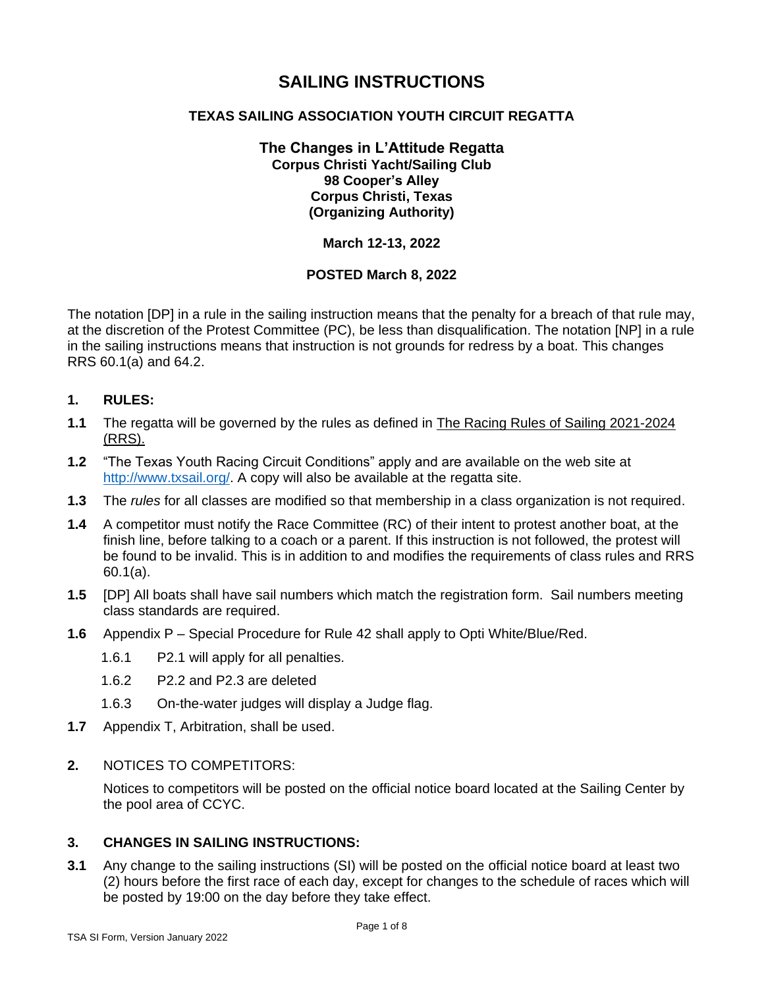## **SAILING INSTRUCTIONS**

## **TEXAS SAILING ASSOCIATION YOUTH CIRCUIT REGATTA**

## **The Changes in L'Attitude Regatta Corpus Christi Yacht/Sailing Club 98 Cooper's Alley Corpus Christi, Texas (Organizing Authority)**

## **March 12-13, 2022**

## **POSTED March 8, 2022**

The notation [DP] in a rule in the sailing instruction means that the penalty for a breach of that rule may, at the discretion of the Protest Committee (PC), be less than disqualification. The notation [NP] in a rule in the sailing instructions means that instruction is not grounds for redress by a boat. This changes RRS 60.1(a) and 64.2.

## **1. RULES:**

- **1.1** The regatta will be governed by the rules as defined in The Racing Rules of Sailing 2021-2024 (RRS).
- **1.2** "The Texas Youth Racing Circuit Conditions" apply and are available on the web site at [http://www.txsail.org/.](http://www.txsail.org/) A copy will also be available at the regatta site.
- **1.3** The *rules* for all classes are modified so that membership in a class organization is not required.
- **1.4** A competitor must notify the Race Committee (RC) of their intent to protest another boat, at the finish line, before talking to a coach or a parent. If this instruction is not followed, the protest will be found to be invalid. This is in addition to and modifies the requirements of class rules and RRS 60.1(a).
- **1.5** [DP] All boats shall have sail numbers which match the registration form. Sail numbers meeting class standards are required.
- **1.6** Appendix P Special Procedure for Rule 42 shall apply to Opti White/Blue/Red.
	- 1.6.1 P2.1 will apply for all penalties.
	- 1.6.2 P2.2 and P2.3 are deleted
	- 1.6.3 On-the-water judges will display a Judge flag.
- **1.7** Appendix T, Arbitration, shall be used.
- **2.** NOTICES TO COMPETITORS:

Notices to competitors will be posted on the official notice board located at the Sailing Center by the pool area of CCYC.

#### **3. CHANGES IN SAILING INSTRUCTIONS:**

**3.1** Any change to the sailing instructions (SI) will be posted on the official notice board at least two (2) hours before the first race of each day, except for changes to the schedule of races which will be posted by 19:00 on the day before they take effect.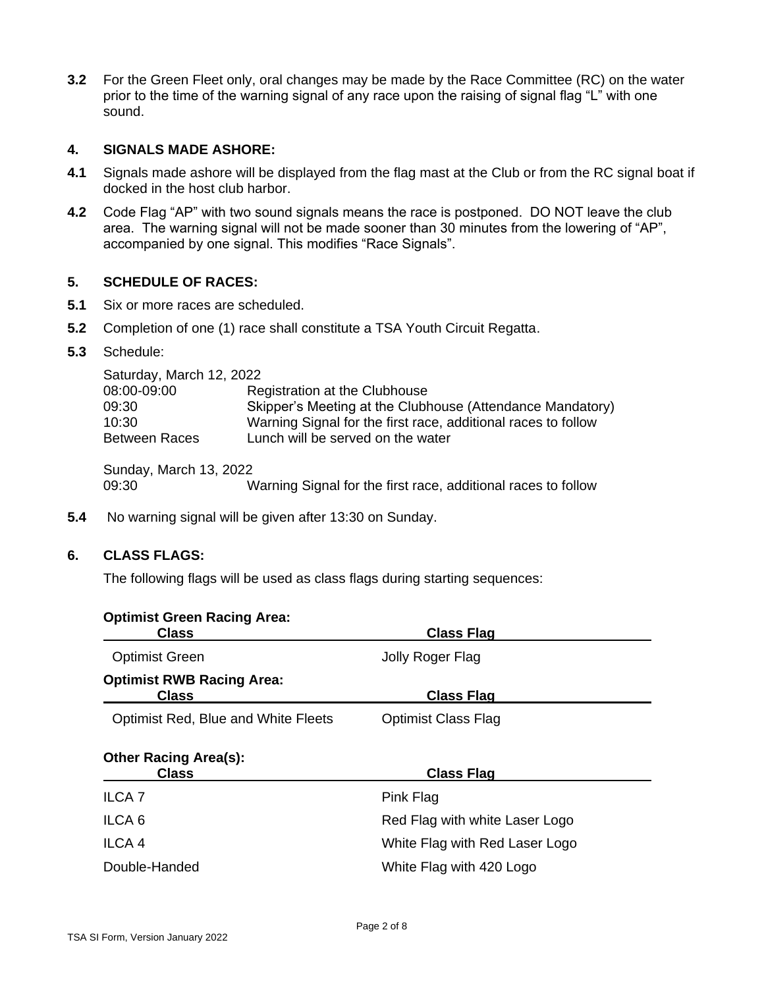**3.2** For the Green Fleet only, oral changes may be made by the Race Committee (RC) on the water prior to the time of the warning signal of any race upon the raising of signal flag "L" with one sound.

#### **4. SIGNALS MADE ASHORE:**

- **4.1** Signals made ashore will be displayed from the flag mast at the Club or from the RC signal boat if docked in the host club harbor.
- **4.2** Code Flag "AP" with two sound signals means the race is postponed. DO NOT leave the club area. The warning signal will not be made sooner than 30 minutes from the lowering of "AP", accompanied by one signal. This modifies "Race Signals".

## **5. SCHEDULE OF RACES:**

- **5.1** Six or more races are scheduled.
- **5.2** Completion of one (1) race shall constitute a TSA Youth Circuit Regatta.
- **5.3** Schedule:

| Saturday, March 12, 2022 |                                                               |  |  |  |
|--------------------------|---------------------------------------------------------------|--|--|--|
| 08:00-09:00              | Registration at the Clubhouse                                 |  |  |  |
| 09:30                    | Skipper's Meeting at the Clubhouse (Attendance Mandatory)     |  |  |  |
| 10:30                    | Warning Signal for the first race, additional races to follow |  |  |  |
| Between Races            | Lunch will be served on the water                             |  |  |  |
|                          |                                                               |  |  |  |

Sunday, March 13, 2022

09:30 Warning Signal for the first race, additional races to follow

**5.4** No warning signal will be given after 13:30 on Sunday.

## **6. CLASS FLAGS:**

The following flags will be used as class flags during starting sequences:

| <b>Optimist Green Racing Area:</b><br><b>Class</b> | <b>Class Flag</b>              |
|----------------------------------------------------|--------------------------------|
| <b>Optimist Green</b>                              | Jolly Roger Flag               |
| <b>Optimist RWB Racing Area:</b><br><b>Class</b>   | <b>Class Flag</b>              |
| <b>Optimist Red, Blue and White Fleets</b>         | <b>Optimist Class Flag</b>     |
| <b>Other Racing Area(s):</b><br><b>Class</b>       | <b>Class Flag</b>              |
| <b>ILCA7</b>                                       | Pink Flag                      |
| ILCA <sub>6</sub>                                  | Red Flag with white Laser Logo |
| ILCA <sub>4</sub>                                  | White Flag with Red Laser Logo |
| Double-Handed                                      | White Flag with 420 Logo       |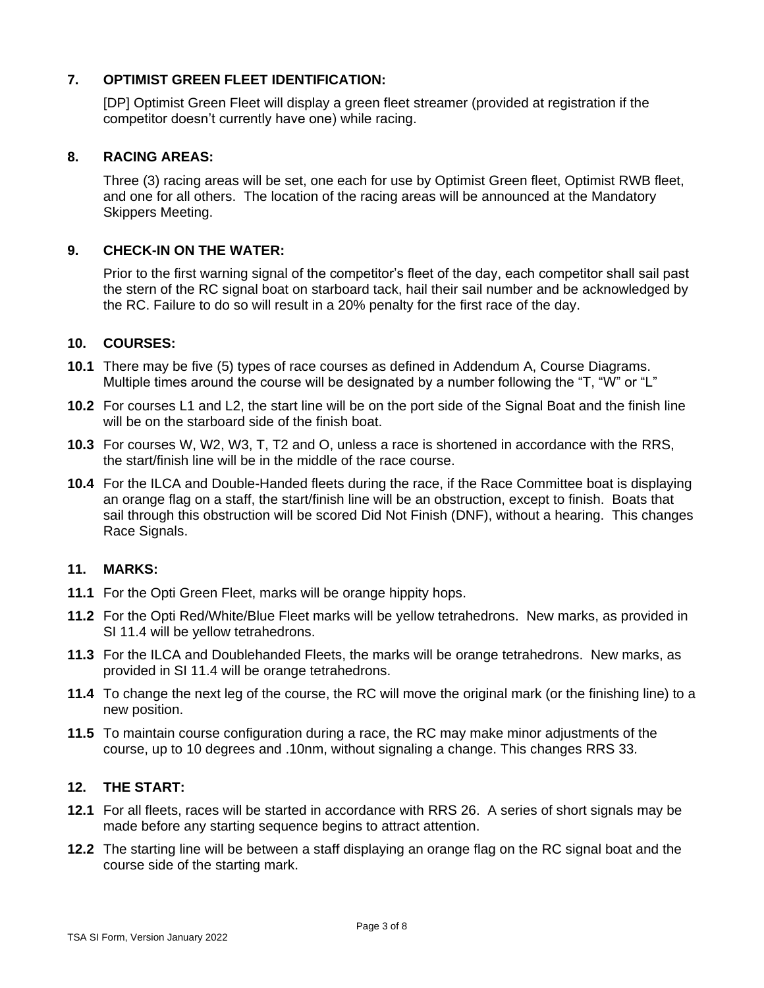## **7. OPTIMIST GREEN FLEET IDENTIFICATION:**

[DP] Optimist Green Fleet will display a green fleet streamer (provided at registration if the competitor doesn't currently have one) while racing.

#### **8. RACING AREAS:**

Three (3) racing areas will be set, one each for use by Optimist Green fleet, Optimist RWB fleet, and one for all others. The location of the racing areas will be announced at the Mandatory Skippers Meeting.

## **9. CHECK-IN ON THE WATER:**

Prior to the first warning signal of the competitor's fleet of the day, each competitor shall sail past the stern of the RC signal boat on starboard tack, hail their sail number and be acknowledged by the RC. Failure to do so will result in a 20% penalty for the first race of the day.

## **10. COURSES:**

- **10.1** There may be five (5) types of race courses as defined in Addendum A, Course Diagrams. Multiple times around the course will be designated by a number following the "T, "W" or "L"
- **10.2** For courses L1 and L2, the start line will be on the port side of the Signal Boat and the finish line will be on the starboard side of the finish boat.
- **10.3** For courses W, W2, W3, T, T2 and O, unless a race is shortened in accordance with the RRS, the start/finish line will be in the middle of the race course.
- **10.4** For the ILCA and Double-Handed fleets during the race, if the Race Committee boat is displaying an orange flag on a staff, the start/finish line will be an obstruction, except to finish. Boats that sail through this obstruction will be scored Did Not Finish (DNF), without a hearing. This changes Race Signals.

#### **11. MARKS:**

- **11.1** For the Opti Green Fleet, marks will be orange hippity hops.
- **11.2** For the Opti Red/White/Blue Fleet marks will be yellow tetrahedrons. New marks, as provided in SI 11.4 will be yellow tetrahedrons.
- **11.3** For the ILCA and Doublehanded Fleets, the marks will be orange tetrahedrons. New marks, as provided in SI 11.4 will be orange tetrahedrons.
- **11.4** To change the next leg of the course, the RC will move the original mark (or the finishing line) to a new position.
- **11.5** To maintain course configuration during a race, the RC may make minor adjustments of the course, up to 10 degrees and .10nm, without signaling a change. This changes RRS 33*.*

#### **12. THE START:**

- **12.1** For all fleets, races will be started in accordance with RRS 26. A series of short signals may be made before any starting sequence begins to attract attention.
- **12.2** The starting line will be between a staff displaying an orange flag on the RC signal boat and the course side of the starting mark.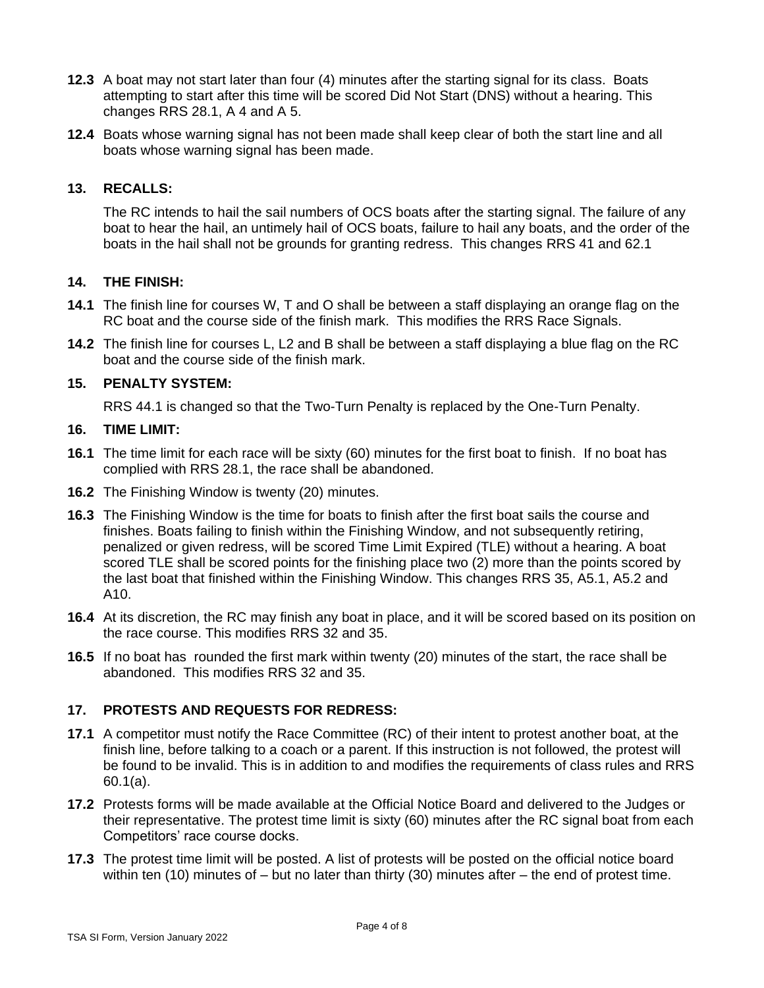- **12.3** A boat may not start later than four (4) minutes after the starting signal for its class. Boats attempting to start after this time will be scored Did Not Start (DNS) without a hearing. This changes RRS 28.1, A 4 and A 5.
- **12.4** Boats whose warning signal has not been made shall keep clear of both the start line and all boats whose warning signal has been made.

## **13. RECALLS:**

The RC intends to hail the sail numbers of OCS boats after the starting signal. The failure of any boat to hear the hail, an untimely hail of OCS boats, failure to hail any boats, and the order of the boats in the hail shall not be grounds for granting redress. This changes RRS 41 and 62.1

## **14. THE FINISH:**

- **14.1** The finish line for courses W, T and O shall be between a staff displaying an orange flag on the RC boat and the course side of the finish mark. This modifies the RRS Race Signals.
- **14.2** The finish line for courses L, L2 and B shall be between a staff displaying a blue flag on the RC boat and the course side of the finish mark.

## **15. PENALTY SYSTEM:**

RRS 44.1 is changed so that the Two-Turn Penalty is replaced by the One-Turn Penalty.

#### **16. TIME LIMIT:**

- **16.1** The time limit for each race will be sixty (60) minutes for the first boat to finish. If no boat has complied with RRS 28.1, the race shall be abandoned.
- **16.2** The Finishing Window is twenty (20) minutes.
- **16.3** The Finishing Window is the time for boats to finish after the first boat sails the course and finishes. Boats failing to finish within the Finishing Window, and not subsequently retiring, penalized or given redress, will be scored Time Limit Expired (TLE) without a hearing. A boat scored TLE shall be scored points for the finishing place two (2) more than the points scored by the last boat that finished within the Finishing Window. This changes RRS 35, A5.1, A5.2 and A10.
- **16.4** At its discretion, the RC may finish any boat in place, and it will be scored based on its position on the race course. This modifies RRS 32 and 35.
- **16.5** If no boat has rounded the first mark within twenty (20) minutes of the start, the race shall be abandoned. This modifies RRS 32 and 35.

## **17. PROTESTS AND REQUESTS FOR REDRESS:**

- **17.1** A competitor must notify the Race Committee (RC) of their intent to protest another boat, at the finish line, before talking to a coach or a parent. If this instruction is not followed, the protest will be found to be invalid. This is in addition to and modifies the requirements of class rules and RRS 60.1(a).
- **17.2** Protests forms will be made available at the Official Notice Board and delivered to the Judges or their representative. The protest time limit is sixty (60) minutes after the RC signal boat from each Competitors' race course docks.
- **17.3** The protest time limit will be posted. A list of protests will be posted on the official notice board within ten (10) minutes of – but no later than thirty (30) minutes after – the end of protest time.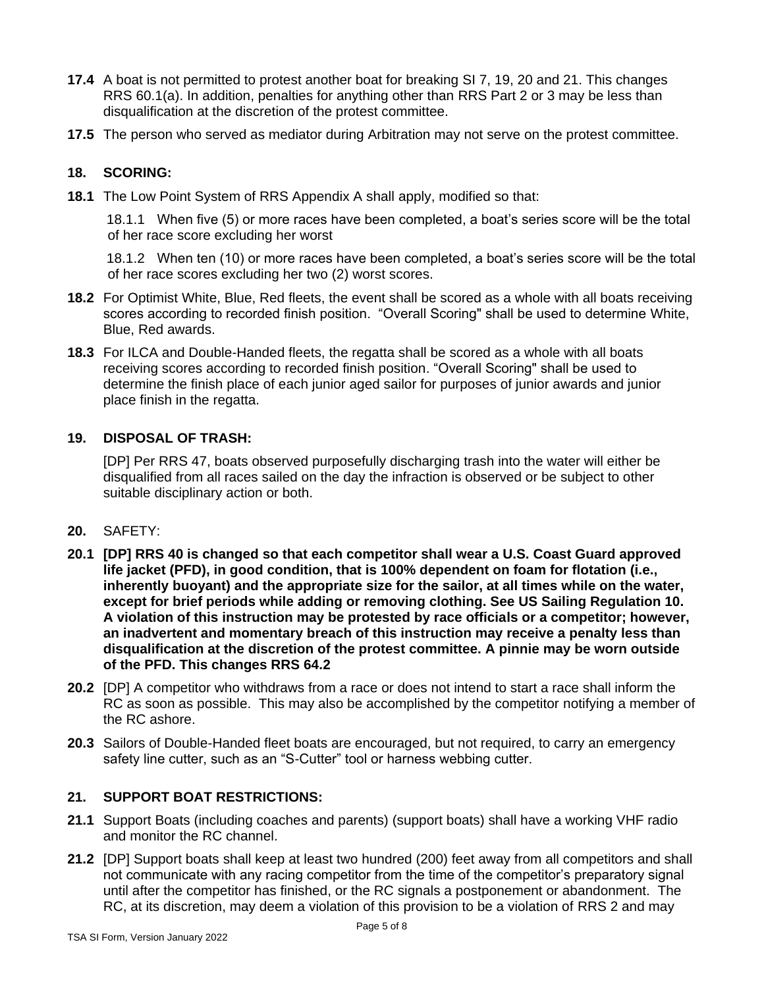- **17.4** A boat is not permitted to protest another boat for breaking SI 7, 19, 20 and 21. This changes RRS 60.1(a). In addition, penalties for anything other than RRS Part 2 or 3 may be less than disqualification at the discretion of the protest committee.
- **17.5** The person who served as mediator during Arbitration may not serve on the protest committee.

## **18. SCORING:**

**18.1** The Low Point System of RRS Appendix A shall apply, modified so that:

18.1.1 When five (5) or more races have been completed, a boat's series score will be the total of her race score excluding her worst

18.1.2 When ten (10) or more races have been completed, a boat's series score will be the total of her race scores excluding her two (2) worst scores.

- **18.2** For Optimist White, Blue, Red fleets, the event shall be scored as a whole with all boats receiving scores according to recorded finish position. "Overall Scoring" shall be used to determine White, Blue, Red awards.
- **18.3** For ILCA and Double-Handed fleets, the regatta shall be scored as a whole with all boats receiving scores according to recorded finish position. "Overall Scoring" shall be used to determine the finish place of each junior aged sailor for purposes of junior awards and junior place finish in the regatta.

## **19. DISPOSAL OF TRASH:**

[DP] Per RRS 47, boats observed purposefully discharging trash into the water will either be disqualified from all races sailed on the day the infraction is observed or be subject to other suitable disciplinary action or both.

#### **20.** SAFETY:

- **20.1 [DP] RRS 40 is changed so that each competitor shall wear a U.S. Coast Guard approved life jacket (PFD), in good condition, that is 100% dependent on foam for flotation (i.e., inherently buoyant) and the appropriate size for the sailor, at all times while on the water, except for brief periods while adding or removing clothing. See US Sailing Regulation 10. A violation of this instruction may be protested by race officials or a competitor; however, an inadvertent and momentary breach of this instruction may receive a penalty less than disqualification at the discretion of the protest committee. A pinnie may be worn outside of the PFD. This changes RRS 64.2**
- **20.2** [DP] A competitor who withdraws from a race or does not intend to start a race shall inform the RC as soon as possible. This may also be accomplished by the competitor notifying a member of the RC ashore.
- **20.3** Sailors of Double-Handed fleet boats are encouraged, but not required, to carry an emergency safety line cutter, such as an "S-Cutter" tool or harness webbing cutter.

## **21. SUPPORT BOAT RESTRICTIONS:**

- **21.1** Support Boats (including coaches and parents) (support boats) shall have a working VHF radio and monitor the RC channel.
- **21.2** [DP] Support boats shall keep at least two hundred (200) feet away from all competitors and shall not communicate with any racing competitor from the time of the competitor's preparatory signal until after the competitor has finished, or the RC signals a postponement or abandonment. The RC, at its discretion, may deem a violation of this provision to be a violation of RRS 2 and may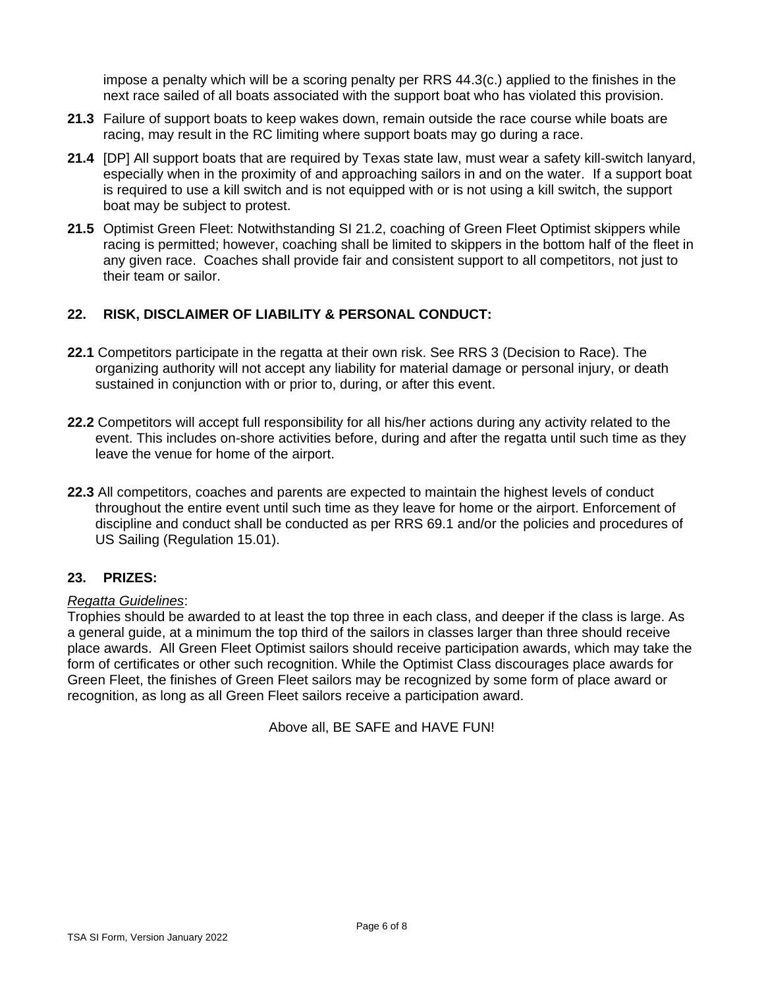impose a penalty which will be a scoring penalty per RRS 44.3(c.) applied to the finishes in the next race sailed of all boats associated with the support boat who has violated this provision.

- **21.3** Failure of support boats to keep wakes down, remain outside the race course while boats are racing, may result in the RC limiting where support boats may go during a race.
- **21.4** [DP] All support boats that are required by Texas state law, must wear a safety kill-switch lanyard, especially when in the proximity of and approaching sailors in and on the water. If a support boat is required to use a kill switch and is not equipped with or is not using a kill switch, the support boat may be subject to protest.
- **21.5** Optimist Green Fleet: Notwithstanding SI 21.2, coaching of Green Fleet Optimist skippers while racing is permitted; however, coaching shall be limited to skippers in the bottom half of the fleet in any given race. Coaches shall provide fair and consistent support to all competitors, not just to their team or sailor.

## **22. RISK, DISCLAIMER OF LIABILITY & PERSONAL CONDUCT:**

- **22.1** Competitors participate in the regatta at their own risk. See RRS 3 (Decision to Race). The organizing authority will not accept any liability for material damage or personal injury, or death sustained in conjunction with or prior to, during, or after this event.
- **22.2** Competitors will accept full responsibility for all his/her actions during any activity related to the event. This includes on-shore activities before, during and after the regatta until such time as they leave the venue for home of the airport.
- **22.3** All competitors, coaches and parents are expected to maintain the highest levels of conduct throughout the entire event until such time as they leave for home or the airport. Enforcement of discipline and conduct shall be conducted as per RRS 69.1 and/or the policies and procedures of US Sailing (Regulation 15.01).

## **23. PRIZES:**

## *Regatta Guidelines*:

Trophies should be awarded to at least the top three in each class, and deeper if the class is large. As a general guide, at a minimum the top third of the sailors in classes larger than three should receive place awards. All Green Fleet Optimist sailors should receive participation awards, which may take the form of certificates or other such recognition. While the Optimist Class discourages place awards for Green Fleet, the finishes of Green Fleet sailors may be recognized by some form of place award or recognition, as long as all Green Fleet sailors receive a participation award.

Above all, BE SAFE and HAVE FUN!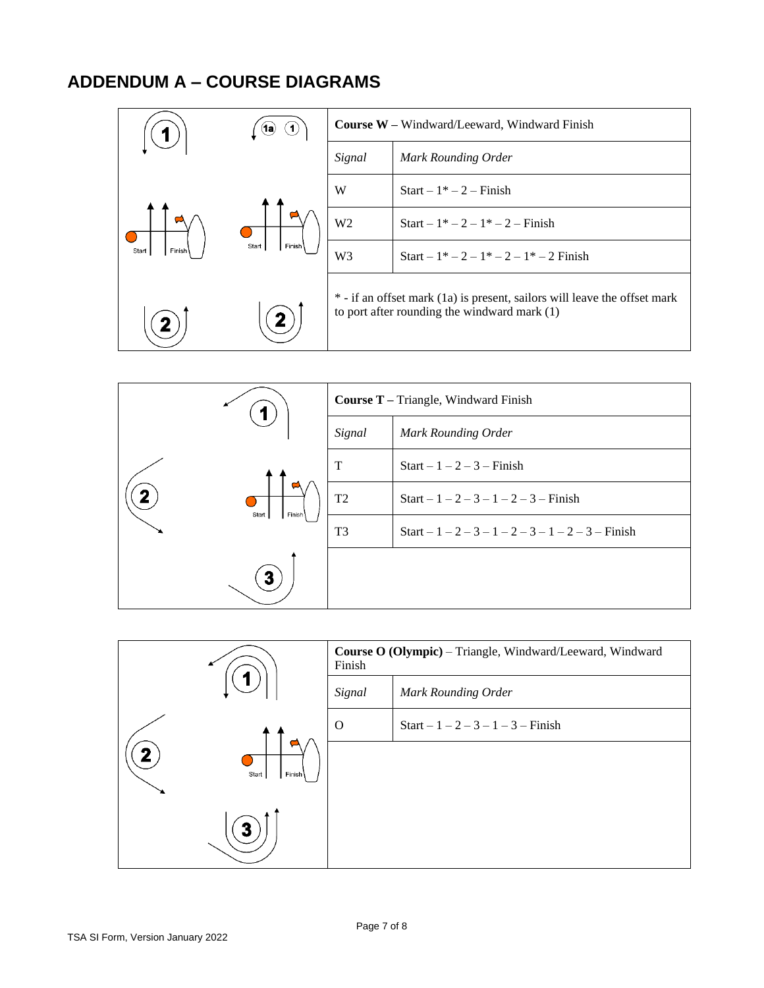# **ADDENDUM A – COURSE DIAGRAMS**

| (1a                                             |   | <b>Course W</b> – Windward/Leeward, Windward Finish                                                                         |                                    |
|-------------------------------------------------|---|-----------------------------------------------------------------------------------------------------------------------------|------------------------------------|
|                                                 |   | Signal                                                                                                                      | Mark Rounding Order                |
| Finish<br>Start<br>Finish <sup>1</sup><br>Start | W | $Start - 1^* - 2 - Finish$                                                                                                  |                                    |
|                                                 |   | W <sub>2</sub>                                                                                                              | Start – $1^*-2-1^*-2$ – Finish     |
|                                                 |   | W <sub>3</sub>                                                                                                              | Start – $1^*-2-1^*-2-1^*-2$ Finish |
|                                                 |   | * - if an offset mark (1a) is present, sailors will leave the offset mark<br>to port after rounding the windward mark $(1)$ |                                    |